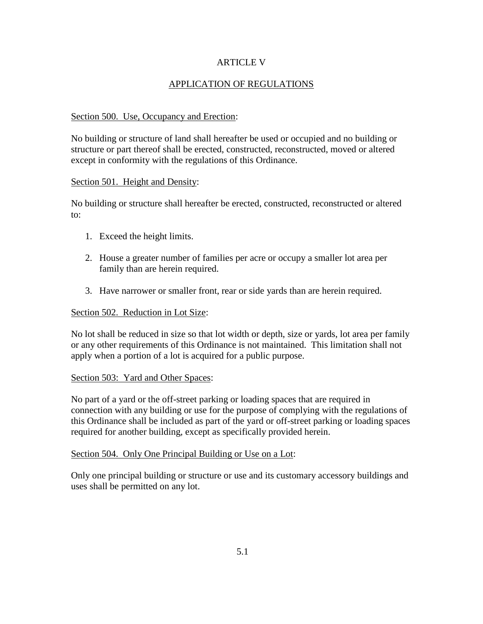## ARTICLE V

# APPLICATION OF REGULATIONS

## Section 500. Use, Occupancy and Erection:

No building or structure of land shall hereafter be used or occupied and no building or structure or part thereof shall be erected, constructed, reconstructed, moved or altered except in conformity with the regulations of this Ordinance.

#### Section 501. Height and Density:

No building or structure shall hereafter be erected, constructed, reconstructed or altered to:

- 1. Exceed the height limits.
- 2. House a greater number of families per acre or occupy a smaller lot area per family than are herein required.
- 3. Have narrower or smaller front, rear or side yards than are herein required.

## Section 502. Reduction in Lot Size:

No lot shall be reduced in size so that lot width or depth, size or yards, lot area per family or any other requirements of this Ordinance is not maintained. This limitation shall not apply when a portion of a lot is acquired for a public purpose.

#### Section 503: Yard and Other Spaces:

No part of a yard or the off-street parking or loading spaces that are required in connection with any building or use for the purpose of complying with the regulations of this Ordinance shall be included as part of the yard or off-street parking or loading spaces required for another building, except as specifically provided herein.

## Section 504. Only One Principal Building or Use on a Lot:

Only one principal building or structure or use and its customary accessory buildings and uses shall be permitted on any lot.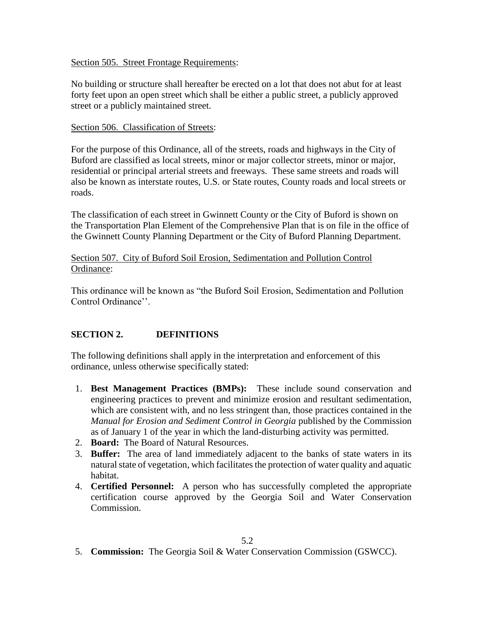## Section 505. Street Frontage Requirements:

No building or structure shall hereafter be erected on a lot that does not abut for at least forty feet upon an open street which shall be either a public street, a publicly approved street or a publicly maintained street.

## Section 506. Classification of Streets:

For the purpose of this Ordinance, all of the streets, roads and highways in the City of Buford are classified as local streets, minor or major collector streets, minor or major, residential or principal arterial streets and freeways. These same streets and roads will also be known as interstate routes, U.S. or State routes, County roads and local streets or roads.

The classification of each street in Gwinnett County or the City of Buford is shown on the Transportation Plan Element of the Comprehensive Plan that is on file in the office of the Gwinnett County Planning Department or the City of Buford Planning Department.

## Section 507. City of Buford Soil Erosion, Sedimentation and Pollution Control Ordinance:

This ordinance will be known as "the Buford Soil Erosion, Sedimentation and Pollution Control Ordinance''.

# **SECTION 2. DEFINITIONS**

The following definitions shall apply in the interpretation and enforcement of this ordinance, unless otherwise specifically stated:

- 1. **Best Management Practices (BMPs):** These include sound conservation and engineering practices to prevent and minimize erosion and resultant sedimentation, which are consistent with, and no less stringent than, those practices contained in the *Manual for Erosion and Sediment Control in Georgia* published by the Commission as of January 1 of the year in which the land-disturbing activity was permitted.
- 2. **Board:** The Board of Natural Resources.
- 3. **Buffer:** The area of land immediately adjacent to the banks of state waters in its natural state of vegetation, which facilitates the protection of water quality and aquatic habitat.
- 4. **Certified Personnel:** A person who has successfully completed the appropriate certification course approved by the Georgia Soil and Water Conservation Commission.

5. **Commission:** The Georgia Soil & Water Conservation Commission (GSWCC).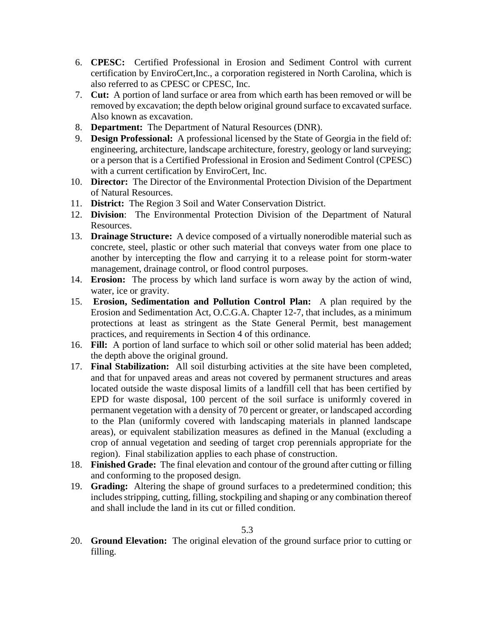- 6. **CPESC:** Certified Professional in Erosion and Sediment Control with current certification by EnviroCert,Inc., a corporation registered in North Carolina, which is also referred to as CPESC or CPESC, Inc.
- 7. **Cut:** A portion of land surface or area from which earth has been removed or will be removed by excavation; the depth below original ground surface to excavated surface. Also known as excavation.
- 8. **Department:** The Department of Natural Resources (DNR).
- 9. **Design Professional:** A professional licensed by the State of Georgia in the field of: engineering, architecture, landscape architecture, forestry, geology or land surveying; or a person that is a Certified Professional in Erosion and Sediment Control (CPESC) with a current certification by EnviroCert, Inc.
- 10. **Director:** The Director of the Environmental Protection Division of the Department of Natural Resources.
- 11. **District:** The Region 3 Soil and Water Conservation District.
- 12. **Division**: The Environmental Protection Division of the Department of Natural Resources.
- 13. **Drainage Structure:** A device composed of a virtually nonerodible material such as concrete, steel, plastic or other such material that conveys water from one place to another by intercepting the flow and carrying it to a release point for storm-water management, drainage control, or flood control purposes.
- 14. **Erosion:** The process by which land surface is worn away by the action of wind, water, ice or gravity.
- 15. **Erosion, Sedimentation and Pollution Control Plan:** A plan required by the Erosion and Sedimentation Act, O.C.G.A. Chapter 12-7, that includes, as a minimum protections at least as stringent as the State General Permit, best management practices, and requirements in Section 4 of this ordinance.
- 16. **Fill:** A portion of land surface to which soil or other solid material has been added; the depth above the original ground.
- 17. **Final Stabilization:** All soil disturbing activities at the site have been completed, and that for unpaved areas and areas not covered by permanent structures and areas located outside the waste disposal limits of a landfill cell that has been certified by EPD for waste disposal, 100 percent of the soil surface is uniformly covered in permanent vegetation with a density of 70 percent or greater, or landscaped according to the Plan (uniformly covered with landscaping materials in planned landscape areas), or equivalent stabilization measures as defined in the Manual (excluding a crop of annual vegetation and seeding of target crop perennials appropriate for the region). Final stabilization applies to each phase of construction.
- 18. **Finished Grade:** The final elevation and contour of the ground after cutting or filling and conforming to the proposed design.
- 19. **Grading:** Altering the shape of ground surfaces to a predetermined condition; this includes stripping, cutting, filling, stockpiling and shaping or any combination thereof and shall include the land in its cut or filled condition.

20. **Ground Elevation:** The original elevation of the ground surface prior to cutting or filling.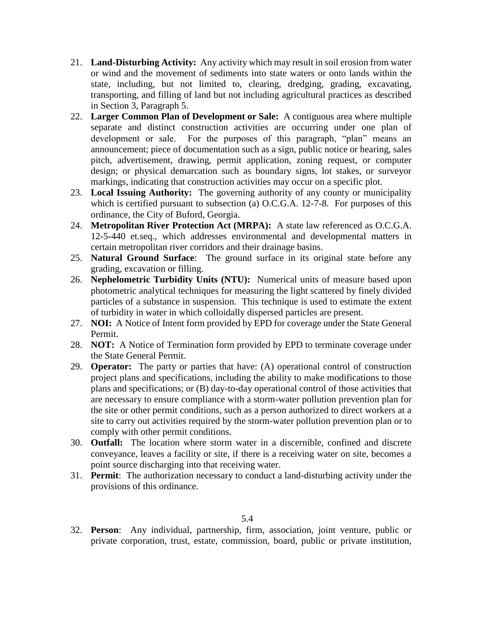- 21. **Land-Disturbing Activity:** Any activity which may result in soil erosion from water or wind and the movement of sediments into state waters or onto lands within the state, including, but not limited to, clearing, dredging, grading, excavating, transporting, and filling of land but not including agricultural practices as described in Section 3, Paragraph 5.
- 22. **Larger Common Plan of Development or Sale:** A contiguous area where multiple separate and distinct construction activities are occurring under one plan of development or sale. For the purposes of this paragraph, "plan" means an announcement; piece of documentation such as a sign, public notice or hearing, sales pitch, advertisement, drawing, permit application, zoning request, or computer design; or physical demarcation such as boundary signs, lot stakes, or surveyor markings, indicating that construction activities may occur on a specific plot.
- 23. **Local Issuing Authority:** The governing authority of any county or municipality which is certified pursuant to subsection (a) O.C.G.A. 12-7-8. For purposes of this ordinance, the City of Buford, Georgia.
- 24. **Metropolitan River Protection Act (MRPA):** A state law referenced as O.C.G.A. 12-5-440 et.seq., which addresses environmental and developmental matters in certain metropolitan river corridors and their drainage basins.
- 25. **Natural Ground Surface**: The ground surface in its original state before any grading, excavation or filling.
- 26. **Nephelometric Turbidity Units (NTU):** Numerical units of measure based upon photometric analytical techniques for measuring the light scattered by finely divided particles of a substance in suspension. This technique is used to estimate the extent of turbidity in water in which colloidally dispersed particles are present.
- 27. **NOI:** A Notice of Intent form provided by EPD for coverage under the State General Permit.
- 28. **NOT:** A Notice of Termination form provided by EPD to terminate coverage under the State General Permit.
- 29. **Operator:** The party or parties that have: (A) operational control of construction project plans and specifications, including the ability to make modifications to those plans and specifications; or (B) day-to-day operational control of those activities that are necessary to ensure compliance with a storm-water pollution prevention plan for the site or other permit conditions, such as a person authorized to direct workers at a site to carry out activities required by the storm-water pollution prevention plan or to comply with other permit conditions.
- 30. **Outfall:** The location where storm water in a discernible, confined and discrete conveyance, leaves a facility or site, if there is a receiving water on site, becomes a point source discharging into that receiving water.
- 31. **Permit**: The authorization necessary to conduct a land-disturbing activity under the provisions of this ordinance.

32. **Person**: Any individual, partnership, firm, association, joint venture, public or private corporation, trust, estate, commission, board, public or private institution,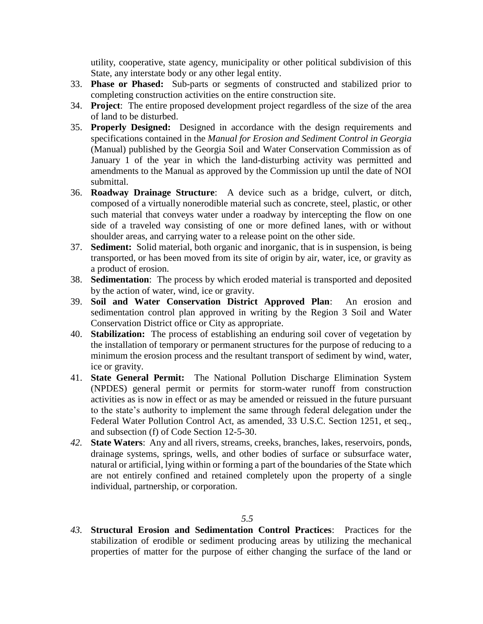utility, cooperative, state agency, municipality or other political subdivision of this State, any interstate body or any other legal entity.

- 33. **Phase or Phased:** Sub-parts or segments of constructed and stabilized prior to completing construction activities on the entire construction site.
- 34. **Project**: The entire proposed development project regardless of the size of the area of land to be disturbed.
- 35. **Properly Designed:** Designed in accordance with the design requirements and specifications contained in the *Manual for Erosion and Sediment Control in Georgia* (Manual) published by the Georgia Soil and Water Conservation Commission as of January 1 of the year in which the land-disturbing activity was permitted and amendments to the Manual as approved by the Commission up until the date of NOI submittal.
- 36. **Roadway Drainage Structure**: A device such as a bridge, culvert, or ditch, composed of a virtually nonerodible material such as concrete, steel, plastic, or other such material that conveys water under a roadway by intercepting the flow on one side of a traveled way consisting of one or more defined lanes, with or without shoulder areas, and carrying water to a release point on the other side.
- 37. **Sediment:** Solid material, both organic and inorganic, that is in suspension, is being transported, or has been moved from its site of origin by air, water, ice, or gravity as a product of erosion.
- 38. **Sedimentation**: The process by which eroded material is transported and deposited by the action of water, wind, ice or gravity.
- 39. **Soil and Water Conservation District Approved Plan**: An erosion and sedimentation control plan approved in writing by the Region 3 Soil and Water Conservation District office or City as appropriate.
- 40. **Stabilization:** The process of establishing an enduring soil cover of vegetation by the installation of temporary or permanent structures for the purpose of reducing to a minimum the erosion process and the resultant transport of sediment by wind, water, ice or gravity.
- 41. **State General Permit:** The National Pollution Discharge Elimination System (NPDES) general permit or permits for storm-water runoff from construction activities as is now in effect or as may be amended or reissued in the future pursuant to the state's authority to implement the same through federal delegation under the Federal Water Pollution Control Act, as amended, 33 U.S.C. Section 1251, et seq., and subsection (f) of Code Section 12-5-30.
- *42.* **State Waters**: Any and all rivers, streams, creeks, branches, lakes, reservoirs, ponds, drainage systems, springs, wells, and other bodies of surface or subsurface water, natural or artificial, lying within or forming a part of the boundaries of the State which are not entirely confined and retained completely upon the property of a single individual, partnership, or corporation.

#### *5.5*

*43.* **Structural Erosion and Sedimentation Control Practices**: Practices for the stabilization of erodible or sediment producing areas by utilizing the mechanical properties of matter for the purpose of either changing the surface of the land or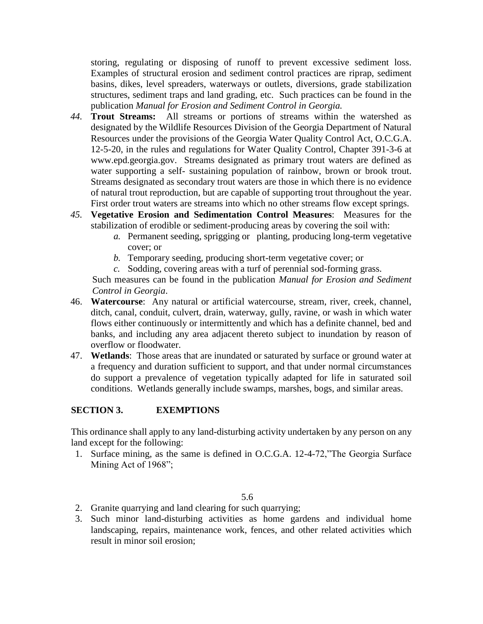storing, regulating or disposing of runoff to prevent excessive sediment loss. Examples of structural erosion and sediment control practices are riprap, sediment basins, dikes, level spreaders, waterways or outlets, diversions, grade stabilization structures, sediment traps and land grading, etc. Such practices can be found in the publication *Manual for Erosion and Sediment Control in Georgia.*

- *44.* **Trout Streams:** All streams or portions of streams within the watershed as designated by the Wildlife Resources Division of the Georgia Department of Natural Resources under the provisions of the Georgia Water Quality Control Act, O.C.G.A. 12-5-20, in the rules and regulations for Water Quality Control, Chapter 391-3-6 at www.epd.georgia.gov. Streams designated as primary trout waters are defined as water supporting a self- sustaining population of rainbow, brown or brook trout. Streams designated as secondary trout waters are those in which there is no evidence of natural trout reproduction, but are capable of supporting trout throughout the year. First order trout waters are streams into which no other streams flow except springs.
- *45.* **Vegetative Erosion and Sedimentation Control Measures**: Measures for the stabilization of erodible or sediment-producing areas by covering the soil with:
	- *a.* Permanent seeding, sprigging or planting, producing long-term vegetative cover; or
	- *b.* Temporary seeding, producing short-term vegetative cover; or
	- *c.* Sodding, covering areas with a turf of perennial sod-forming grass.

Such measures can be found in the publication *Manual for Erosion and Sediment Control in Georgia*.

- 46. **Watercourse**: Any natural or artificial watercourse, stream, river, creek, channel, ditch, canal, conduit, culvert, drain, waterway, gully, ravine, or wash in which water flows either continuously or intermittently and which has a definite channel, bed and banks, and including any area adjacent thereto subject to inundation by reason of overflow or floodwater.
- 47. **Wetlands**: Those areas that are inundated or saturated by surface or ground water at a frequency and duration sufficient to support, and that under normal circumstances do support a prevalence of vegetation typically adapted for life in saturated soil conditions. Wetlands generally include swamps, marshes, bogs, and similar areas.

# **SECTION 3. EXEMPTIONS**

This ordinance shall apply to any land-disturbing activity undertaken by any person on any land except for the following:

1. Surface mining, as the same is defined in O.C.G.A. 12-4-72,"The Georgia Surface Mining Act of 1968";

- 2. Granite quarrying and land clearing for such quarrying;
- 3. Such minor land-disturbing activities as home gardens and individual home landscaping, repairs, maintenance work, fences, and other related activities which result in minor soil erosion;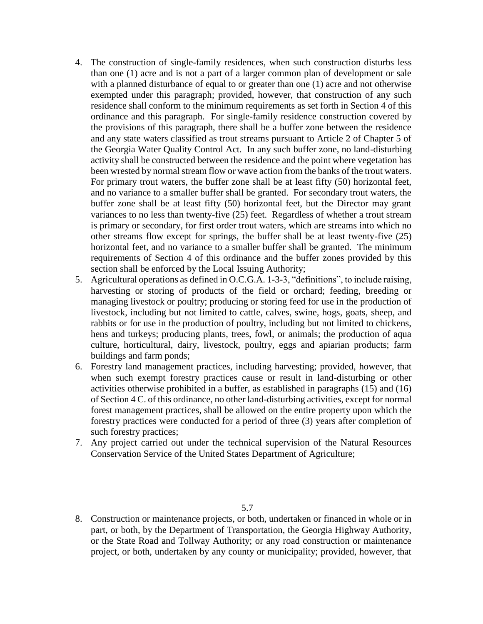- 4. The construction of single-family residences, when such construction disturbs less than one (1) acre and is not a part of a larger common plan of development or sale with a planned disturbance of equal to or greater than one (1) acre and not otherwise exempted under this paragraph; provided, however, that construction of any such residence shall conform to the minimum requirements as set forth in Section 4 of this ordinance and this paragraph. For single-family residence construction covered by the provisions of this paragraph, there shall be a buffer zone between the residence and any state waters classified as trout streams pursuant to Article 2 of Chapter 5 of the Georgia Water Quality Control Act. In any such buffer zone, no land-disturbing activity shall be constructed between the residence and the point where vegetation has been wrested by normal stream flow or wave action from the banks of the trout waters. For primary trout waters, the buffer zone shall be at least fifty (50) horizontal feet, and no variance to a smaller buffer shall be granted. For secondary trout waters, the buffer zone shall be at least fifty (50) horizontal feet, but the Director may grant variances to no less than twenty-five (25) feet. Regardless of whether a trout stream is primary or secondary, for first order trout waters, which are streams into which no other streams flow except for springs, the buffer shall be at least twenty-five (25) horizontal feet, and no variance to a smaller buffer shall be granted. The minimum requirements of Section 4 of this ordinance and the buffer zones provided by this section shall be enforced by the Local Issuing Authority;
- 5. Agricultural operations as defined in O.C.G.A. 1-3-3, "definitions", to include raising, harvesting or storing of products of the field or orchard; feeding, breeding or managing livestock or poultry; producing or storing feed for use in the production of livestock, including but not limited to cattle, calves, swine, hogs, goats, sheep, and rabbits or for use in the production of poultry, including but not limited to chickens, hens and turkeys; producing plants, trees, fowl, or animals; the production of aqua culture, horticultural, dairy, livestock, poultry, eggs and apiarian products; farm buildings and farm ponds;
- 6. Forestry land management practices, including harvesting; provided, however, that when such exempt forestry practices cause or result in land-disturbing or other activities otherwise prohibited in a buffer, as established in paragraphs (15) and (16) of Section 4 C. of this ordinance, no other land-disturbing activities, except for normal forest management practices, shall be allowed on the entire property upon which the forestry practices were conducted for a period of three (3) years after completion of such forestry practices;
- 7. Any project carried out under the technical supervision of the Natural Resources Conservation Service of the United States Department of Agriculture;

8. Construction or maintenance projects, or both, undertaken or financed in whole or in part, or both, by the Department of Transportation, the Georgia Highway Authority, or the State Road and Tollway Authority; or any road construction or maintenance project, or both, undertaken by any county or municipality; provided, however, that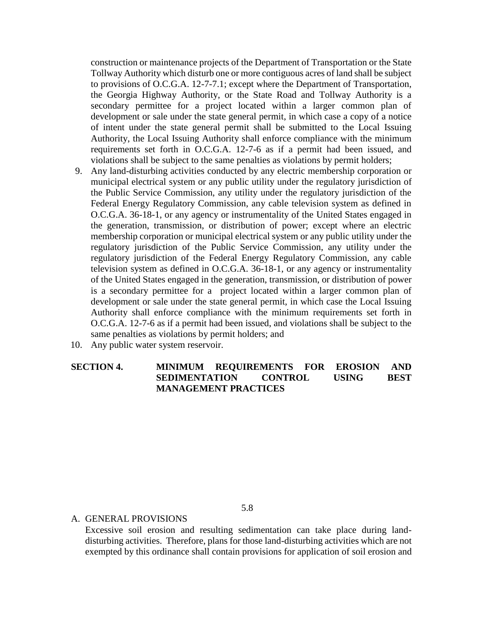construction or maintenance projects of the Department of Transportation or the State Tollway Authority which disturb one or more contiguous acres of land shall be subject to provisions of O.C.G.A. 12-7-7.1; except where the Department of Transportation, the Georgia Highway Authority, or the State Road and Tollway Authority is a secondary permittee for a project located within a larger common plan of development or sale under the state general permit, in which case a copy of a notice of intent under the state general permit shall be submitted to the Local Issuing Authority, the Local Issuing Authority shall enforce compliance with the minimum requirements set forth in O.C.G.A. 12-7-6 as if a permit had been issued, and violations shall be subject to the same penalties as violations by permit holders;

- 9. Any land-disturbing activities conducted by any electric membership corporation or municipal electrical system or any public utility under the regulatory jurisdiction of the Public Service Commission, any utility under the regulatory jurisdiction of the Federal Energy Regulatory Commission, any cable television system as defined in O.C.G.A. 36-18-1, or any agency or instrumentality of the United States engaged in the generation, transmission, or distribution of power; except where an electric membership corporation or municipal electrical system or any public utility under the regulatory jurisdiction of the Public Service Commission, any utility under the regulatory jurisdiction of the Federal Energy Regulatory Commission, any cable television system as defined in O.C.G.A. 36-18-1, or any agency or instrumentality of the United States engaged in the generation, transmission, or distribution of power is a secondary permittee for a project located within a larger common plan of development or sale under the state general permit, in which case the Local Issuing Authority shall enforce compliance with the minimum requirements set forth in O.C.G.A. 12-7-6 as if a permit had been issued, and violations shall be subject to the same penalties as violations by permit holders; and
- 10. Any public water system reservoir.

## **SECTION 4. MINIMUM REQUIREMENTS FOR EROSION AND SEDIMENTATION CONTROL USING BEST MANAGEMENT PRACTICES**

A. GENERAL PROVISIONS

Excessive soil erosion and resulting sedimentation can take place during landdisturbing activities. Therefore, plans for those land-disturbing activities which are not exempted by this ordinance shall contain provisions for application of soil erosion and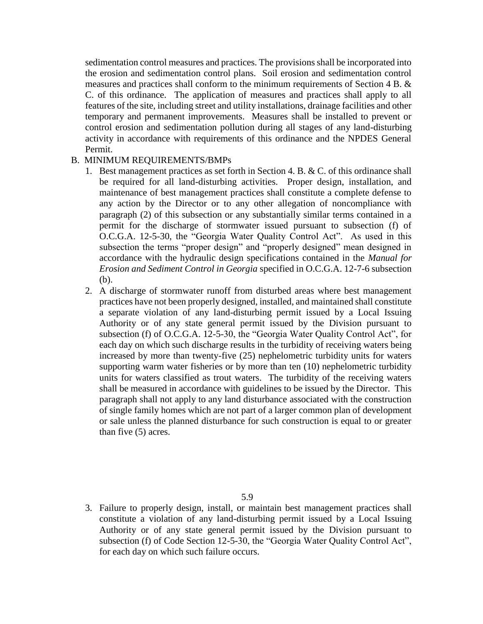sedimentation control measures and practices. The provisions shall be incorporated into the erosion and sedimentation control plans. Soil erosion and sedimentation control measures and practices shall conform to the minimum requirements of Section 4 B. & C. of this ordinance. The application of measures and practices shall apply to all features of the site, including street and utility installations, drainage facilities and other temporary and permanent improvements. Measures shall be installed to prevent or control erosion and sedimentation pollution during all stages of any land-disturbing activity in accordance with requirements of this ordinance and the NPDES General Permit.

#### B. MINIMUM REQUIREMENTS/BMPs

- 1. Best management practices as set forth in Section 4. B. & C. of this ordinance shall be required for all land-disturbing activities. Proper design, installation, and maintenance of best management practices shall constitute a complete defense to any action by the Director or to any other allegation of noncompliance with paragraph (2) of this subsection or any substantially similar terms contained in a permit for the discharge of stormwater issued pursuant to subsection (f) of O.C.G.A. 12-5-30, the "Georgia Water Quality Control Act". As used in this subsection the terms "proper design" and "properly designed" mean designed in accordance with the hydraulic design specifications contained in the *Manual for Erosion and Sediment Control in Georgia* specified in O.C.G.A. 12-7-6 subsection (b).
- 2. A discharge of stormwater runoff from disturbed areas where best management practices have not been properly designed, installed, and maintained shall constitute a separate violation of any land-disturbing permit issued by a Local Issuing Authority or of any state general permit issued by the Division pursuant to subsection (f) of O.C.G.A. 12-5-30, the "Georgia Water Quality Control Act", for each day on which such discharge results in the turbidity of receiving waters being increased by more than twenty-five (25) nephelometric turbidity units for waters supporting warm water fisheries or by more than ten (10) nephelometric turbidity units for waters classified as trout waters. The turbidity of the receiving waters shall be measured in accordance with guidelines to be issued by the Director. This paragraph shall not apply to any land disturbance associated with the construction of single family homes which are not part of a larger common plan of development or sale unless the planned disturbance for such construction is equal to or greater than five (5) acres.

3. Failure to properly design, install, or maintain best management practices shall constitute a violation of any land-disturbing permit issued by a Local Issuing Authority or of any state general permit issued by the Division pursuant to subsection (f) of Code Section 12-5-30, the "Georgia Water Quality Control Act", for each day on which such failure occurs.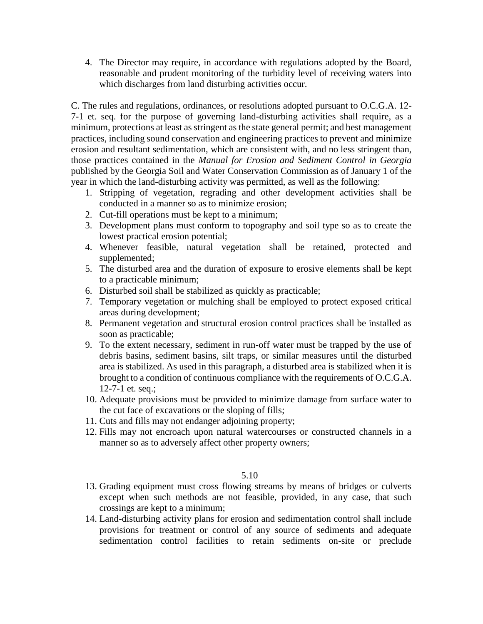4. The Director may require, in accordance with regulations adopted by the Board, reasonable and prudent monitoring of the turbidity level of receiving waters into which discharges from land disturbing activities occur.

C. The rules and regulations, ordinances, or resolutions adopted pursuant to O.C.G.A. 12- 7-1 et. seq. for the purpose of governing land-disturbing activities shall require, as a minimum, protections at least as stringent as the state general permit; and best management practices, including sound conservation and engineering practices to prevent and minimize erosion and resultant sedimentation, which are consistent with, and no less stringent than, those practices contained in the *Manual for Erosion and Sediment Control in Georgia* published by the Georgia Soil and Water Conservation Commission as of January 1 of the year in which the land-disturbing activity was permitted, as well as the following:

- 1. Stripping of vegetation, regrading and other development activities shall be conducted in a manner so as to minimize erosion;
- 2. Cut-fill operations must be kept to a minimum;
- 3. Development plans must conform to topography and soil type so as to create the lowest practical erosion potential;
- 4. Whenever feasible, natural vegetation shall be retained, protected and supplemented;
- 5. The disturbed area and the duration of exposure to erosive elements shall be kept to a practicable minimum;
- 6. Disturbed soil shall be stabilized as quickly as practicable;
- 7. Temporary vegetation or mulching shall be employed to protect exposed critical areas during development;
- 8. Permanent vegetation and structural erosion control practices shall be installed as soon as practicable;
- 9. To the extent necessary, sediment in run-off water must be trapped by the use of debris basins, sediment basins, silt traps, or similar measures until the disturbed area is stabilized. As used in this paragraph, a disturbed area is stabilized when it is brought to a condition of continuous compliance with the requirements of O.C.G.A. 12-7-1 et. seq.;
- 10. Adequate provisions must be provided to minimize damage from surface water to the cut face of excavations or the sloping of fills;
- 11. Cuts and fills may not endanger adjoining property;
- 12. Fills may not encroach upon natural watercourses or constructed channels in a manner so as to adversely affect other property owners;

- 13. Grading equipment must cross flowing streams by means of bridges or culverts except when such methods are not feasible, provided, in any case, that such crossings are kept to a minimum;
- 14. Land-disturbing activity plans for erosion and sedimentation control shall include provisions for treatment or control of any source of sediments and adequate sedimentation control facilities to retain sediments on-site or preclude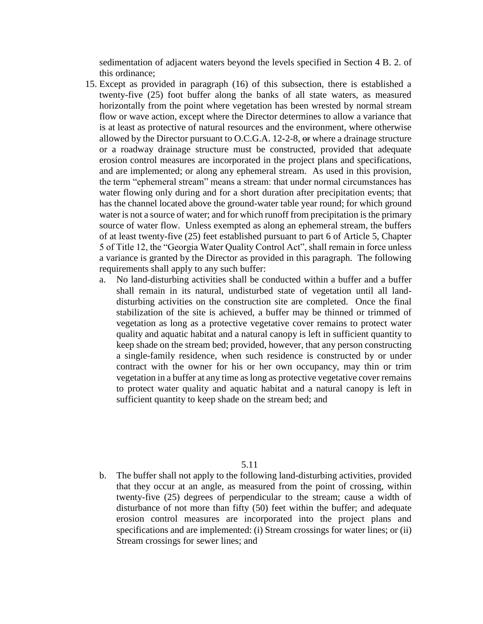sedimentation of adjacent waters beyond the levels specified in Section 4 B. 2. of this ordinance;

- 15. Except as provided in paragraph (16) of this subsection, there is established a twenty-five (25) foot buffer along the banks of all state waters, as measured horizontally from the point where vegetation has been wrested by normal stream flow or wave action, except where the Director determines to allow a variance that is at least as protective of natural resources and the environment, where otherwise allowed by the Director pursuant to O.C.G.A. 12-2-8,  $\Theta$  where a drainage structure or a roadway drainage structure must be constructed, provided that adequate erosion control measures are incorporated in the project plans and specifications, and are implemented; or along any ephemeral stream. As used in this provision, the term "ephemeral stream" means a stream: that under normal circumstances has water flowing only during and for a short duration after precipitation events; that has the channel located above the ground-water table year round; for which ground water is not a source of water; and for which runoff from precipitation is the primary source of water flow. Unless exempted as along an ephemeral stream, the buffers of at least twenty-five (25) feet established pursuant to part 6 of Article 5, Chapter 5 of Title 12, the "Georgia Water Quality Control Act", shall remain in force unless a variance is granted by the Director as provided in this paragraph. The following requirements shall apply to any such buffer:
	- a. No land-disturbing activities shall be conducted within a buffer and a buffer shall remain in its natural, undisturbed state of vegetation until all landdisturbing activities on the construction site are completed. Once the final stabilization of the site is achieved, a buffer may be thinned or trimmed of vegetation as long as a protective vegetative cover remains to protect water quality and aquatic habitat and a natural canopy is left in sufficient quantity to keep shade on the stream bed; provided, however, that any person constructing a single-family residence, when such residence is constructed by or under contract with the owner for his or her own occupancy, may thin or trim vegetation in a buffer at any time as long as protective vegetative cover remains to protect water quality and aquatic habitat and a natural canopy is left in sufficient quantity to keep shade on the stream bed; and

#### 5.11

b. The buffer shall not apply to the following land-disturbing activities, provided that they occur at an angle, as measured from the point of crossing, within twenty-five (25) degrees of perpendicular to the stream; cause a width of disturbance of not more than fifty (50) feet within the buffer; and adequate erosion control measures are incorporated into the project plans and specifications and are implemented: (i) Stream crossings for water lines; or (ii) Stream crossings for sewer lines; and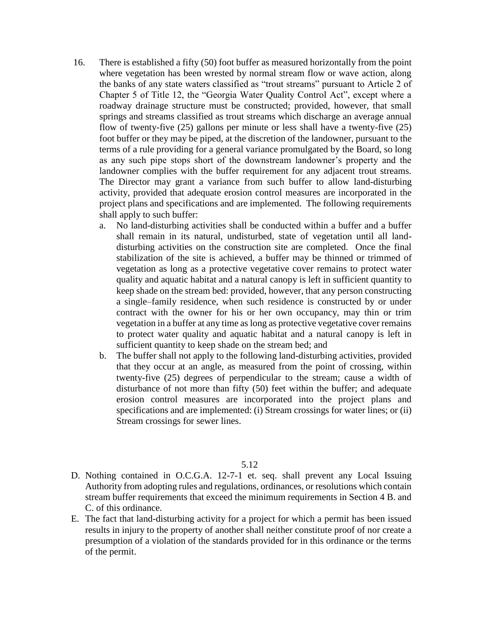- 16. There is established a fifty (50) foot buffer as measured horizontally from the point where vegetation has been wrested by normal stream flow or wave action, along the banks of any state waters classified as "trout streams" pursuant to Article 2 of Chapter 5 of Title 12, the "Georgia Water Quality Control Act", except where a roadway drainage structure must be constructed; provided, however, that small springs and streams classified as trout streams which discharge an average annual flow of twenty-five (25) gallons per minute or less shall have a twenty-five (25) foot buffer or they may be piped, at the discretion of the landowner, pursuant to the terms of a rule providing for a general variance promulgated by the Board, so long as any such pipe stops short of the downstream landowner's property and the landowner complies with the buffer requirement for any adjacent trout streams. The Director may grant a variance from such buffer to allow land-disturbing activity, provided that adequate erosion control measures are incorporated in the project plans and specifications and are implemented. The following requirements shall apply to such buffer:
	- a. No land-disturbing activities shall be conducted within a buffer and a buffer shall remain in its natural, undisturbed, state of vegetation until all landdisturbing activities on the construction site are completed. Once the final stabilization of the site is achieved, a buffer may be thinned or trimmed of vegetation as long as a protective vegetative cover remains to protect water quality and aquatic habitat and a natural canopy is left in sufficient quantity to keep shade on the stream bed: provided, however, that any person constructing a single–family residence, when such residence is constructed by or under contract with the owner for his or her own occupancy, may thin or trim vegetation in a buffer at any time as long as protective vegetative cover remains to protect water quality and aquatic habitat and a natural canopy is left in sufficient quantity to keep shade on the stream bed; and
	- b. The buffer shall not apply to the following land-disturbing activities, provided that they occur at an angle, as measured from the point of crossing, within twenty-five (25) degrees of perpendicular to the stream; cause a width of disturbance of not more than fifty (50) feet within the buffer; and adequate erosion control measures are incorporated into the project plans and specifications and are implemented: (i) Stream crossings for water lines; or (ii) Stream crossings for sewer lines.

- D. Nothing contained in O.C.G.A. 12-7-1 et. seq. shall prevent any Local Issuing Authority from adopting rules and regulations, ordinances, or resolutions which contain stream buffer requirements that exceed the minimum requirements in Section 4 B. and C. of this ordinance.
- E. The fact that land-disturbing activity for a project for which a permit has been issued results in injury to the property of another shall neither constitute proof of nor create a presumption of a violation of the standards provided for in this ordinance or the terms of the permit.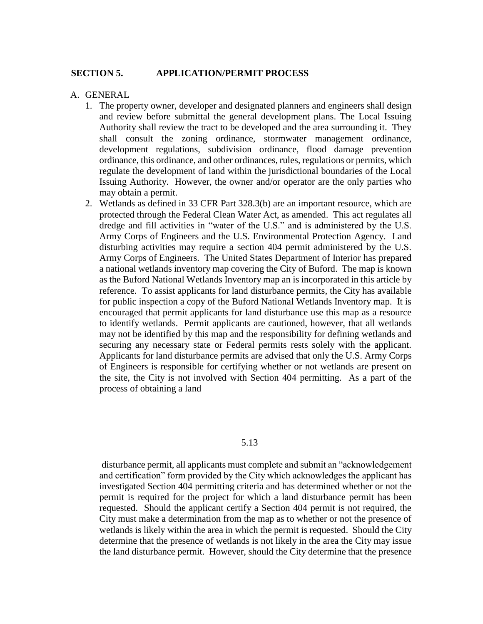#### **SECTION 5. APPLICATION/PERMIT PROCESS**

#### A. GENERAL

- 1. The property owner, developer and designated planners and engineers shall design and review before submittal the general development plans. The Local Issuing Authority shall review the tract to be developed and the area surrounding it. They shall consult the zoning ordinance, stormwater management ordinance, development regulations, subdivision ordinance, flood damage prevention ordinance, this ordinance, and other ordinances, rules, regulations or permits, which regulate the development of land within the jurisdictional boundaries of the Local Issuing Authority. However, the owner and/or operator are the only parties who may obtain a permit.
- 2. Wetlands as defined in 33 CFR Part 328.3(b) are an important resource, which are protected through the Federal Clean Water Act, as amended. This act regulates all dredge and fill activities in "water of the U.S." and is administered by the U.S. Army Corps of Engineers and the U.S. Environmental Protection Agency. Land disturbing activities may require a section 404 permit administered by the U.S. Army Corps of Engineers. The United States Department of Interior has prepared a national wetlands inventory map covering the City of Buford. The map is known as the Buford National Wetlands Inventory map an is incorporated in this article by reference. To assist applicants for land disturbance permits, the City has available for public inspection a copy of the Buford National Wetlands Inventory map. It is encouraged that permit applicants for land disturbance use this map as a resource to identify wetlands. Permit applicants are cautioned, however, that all wetlands may not be identified by this map and the responsibility for defining wetlands and securing any necessary state or Federal permits rests solely with the applicant. Applicants for land disturbance permits are advised that only the U.S. Army Corps of Engineers is responsible for certifying whether or not wetlands are present on the site, the City is not involved with Section 404 permitting. As a part of the process of obtaining a land

#### 5.13

disturbance permit, all applicants must complete and submit an "acknowledgement and certification" form provided by the City which acknowledges the applicant has investigated Section 404 permitting criteria and has determined whether or not the permit is required for the project for which a land disturbance permit has been requested. Should the applicant certify a Section 404 permit is not required, the City must make a determination from the map as to whether or not the presence of wetlands is likely within the area in which the permit is requested. Should the City determine that the presence of wetlands is not likely in the area the City may issue the land disturbance permit. However, should the City determine that the presence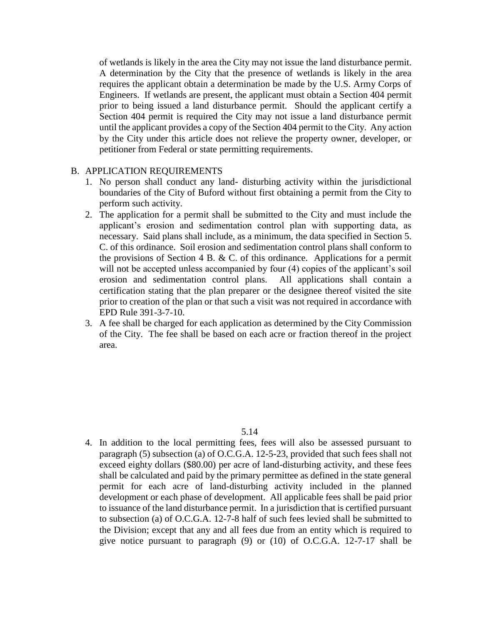of wetlands is likely in the area the City may not issue the land disturbance permit. A determination by the City that the presence of wetlands is likely in the area requires the applicant obtain a determination be made by the U.S. Army Corps of Engineers. If wetlands are present, the applicant must obtain a Section 404 permit prior to being issued a land disturbance permit. Should the applicant certify a Section 404 permit is required the City may not issue a land disturbance permit until the applicant provides a copy of the Section 404 permit to the City. Any action by the City under this article does not relieve the property owner, developer, or petitioner from Federal or state permitting requirements.

#### B. APPLICATION REQUIREMENTS

- 1. No person shall conduct any land- disturbing activity within the jurisdictional boundaries of the City of Buford without first obtaining a permit from the City to perform such activity.
- 2. The application for a permit shall be submitted to the City and must include the applicant's erosion and sedimentation control plan with supporting data, as necessary. Said plans shall include, as a minimum, the data specified in Section 5. C. of this ordinance. Soil erosion and sedimentation control plans shall conform to the provisions of Section 4 B.  $&$  C. of this ordinance. Applications for a permit will not be accepted unless accompanied by four (4) copies of the applicant's soil erosion and sedimentation control plans. All applications shall contain a certification stating that the plan preparer or the designee thereof visited the site prior to creation of the plan or that such a visit was not required in accordance with EPD Rule 391-3-7-10.
- 3. A fee shall be charged for each application as determined by the City Commission of the City. The fee shall be based on each acre or fraction thereof in the project area.

#### 5.14

4. In addition to the local permitting fees, fees will also be assessed pursuant to paragraph (5) subsection (a) of O.C.G.A. 12-5-23, provided that such fees shall not exceed eighty dollars (\$80.00) per acre of land-disturbing activity, and these fees shall be calculated and paid by the primary permittee as defined in the state general permit for each acre of land-disturbing activity included in the planned development or each phase of development. All applicable fees shall be paid prior to issuance of the land disturbance permit. In a jurisdiction that is certified pursuant to subsection (a) of O.C.G.A. 12-7-8 half of such fees levied shall be submitted to the Division; except that any and all fees due from an entity which is required to give notice pursuant to paragraph (9) or (10) of O.C.G.A. 12-7-17 shall be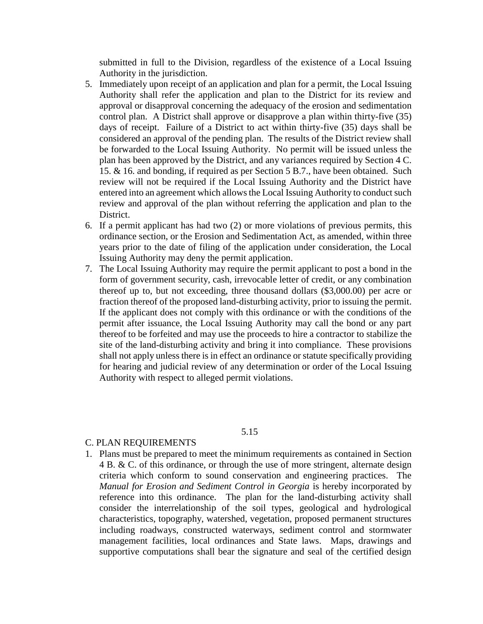submitted in full to the Division, regardless of the existence of a Local Issuing Authority in the jurisdiction.

- 5. Immediately upon receipt of an application and plan for a permit, the Local Issuing Authority shall refer the application and plan to the District for its review and approval or disapproval concerning the adequacy of the erosion and sedimentation control plan. A District shall approve or disapprove a plan within thirty-five (35) days of receipt. Failure of a District to act within thirty-five (35) days shall be considered an approval of the pending plan. The results of the District review shall be forwarded to the Local Issuing Authority. No permit will be issued unless the plan has been approved by the District, and any variances required by Section 4 C. 15. & 16. and bonding, if required as per Section 5 B.7., have been obtained. Such review will not be required if the Local Issuing Authority and the District have entered into an agreement which allows the Local Issuing Authority to conduct such review and approval of the plan without referring the application and plan to the District.
- 6. If a permit applicant has had two (2) or more violations of previous permits, this ordinance section, or the Erosion and Sedimentation Act, as amended, within three years prior to the date of filing of the application under consideration, the Local Issuing Authority may deny the permit application.
- 7. The Local Issuing Authority may require the permit applicant to post a bond in the form of government security, cash, irrevocable letter of credit, or any combination thereof up to, but not exceeding, three thousand dollars (\$3,000.00) per acre or fraction thereof of the proposed land-disturbing activity, prior to issuing the permit. If the applicant does not comply with this ordinance or with the conditions of the permit after issuance, the Local Issuing Authority may call the bond or any part thereof to be forfeited and may use the proceeds to hire a contractor to stabilize the site of the land-disturbing activity and bring it into compliance. These provisions shall not apply unless there is in effect an ordinance or statute specifically providing for hearing and judicial review of any determination or order of the Local Issuing Authority with respect to alleged permit violations.

#### 5.15

## C. PLAN REQUIREMENTS

1. Plans must be prepared to meet the minimum requirements as contained in Section 4 B. & C. of this ordinance, or through the use of more stringent, alternate design criteria which conform to sound conservation and engineering practices. The *Manual for Erosion and Sediment Control in Georgia* is hereby incorporated by reference into this ordinance. The plan for the land-disturbing activity shall consider the interrelationship of the soil types, geological and hydrological characteristics, topography, watershed, vegetation, proposed permanent structures including roadways, constructed waterways, sediment control and stormwater management facilities, local ordinances and State laws. Maps, drawings and supportive computations shall bear the signature and seal of the certified design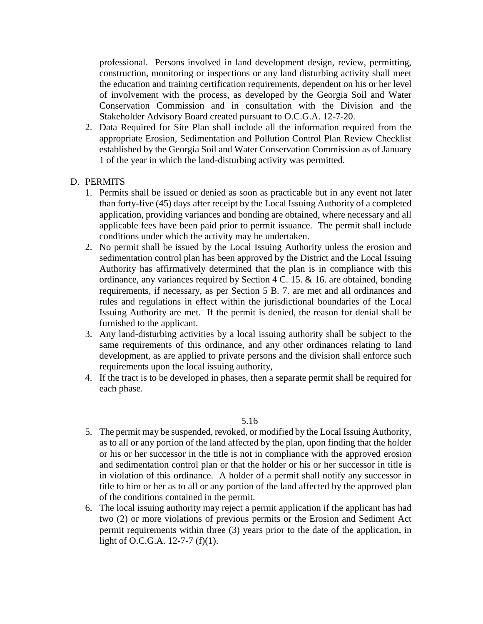professional. Persons involved in land development design, review, permitting, construction, monitoring or inspections or any land disturbing activity shall meet the education and training certification requirements, dependent on his or her level of involvement with the process, as developed by the Georgia Soil and Water Conservation Commission and in consultation with the Division and the Stakeholder Advisory Board created pursuant to O.C.G.A. 12-7-20.

2. Data Required for Site Plan shall include all the information required from the appropriate Erosion, Sedimentation and Pollution Control Plan Review Checklist established by the Georgia Soil and Water Conservation Commission as of January 1 of the year in which the land-disturbing activity was permitted.

## D. PERMITS

- 1. Permits shall be issued or denied as soon as practicable but in any event not later than forty-five (45) days after receipt by the Local Issuing Authority of a completed application, providing variances and bonding are obtained, where necessary and all applicable fees have been paid prior to permit issuance. The permit shall include conditions under which the activity may be undertaken.
- 2. No permit shall be issued by the Local Issuing Authority unless the erosion and sedimentation control plan has been approved by the District and the Local Issuing Authority has affirmatively determined that the plan is in compliance with this ordinance, any variances required by Section 4 C. 15. & 16. are obtained, bonding requirements, if necessary, as per Section 5 B. 7. are met and all ordinances and rules and regulations in effect within the jurisdictional boundaries of the Local Issuing Authority are met. If the permit is denied, the reason for denial shall be furnished to the applicant.
- 3. Any land-disturbing activities by a local issuing authority shall be subject to the same requirements of this ordinance, and any other ordinances relating to land development, as are applied to private persons and the division shall enforce such requirements upon the local issuing authority,
- 4. If the tract is to be developed in phases, then a separate permit shall be required for each phase.

- 5. The permit may be suspended, revoked, or modified by the Local Issuing Authority, as to all or any portion of the land affected by the plan, upon finding that the holder or his or her successor in the title is not in compliance with the approved erosion and sedimentation control plan or that the holder or his or her successor in title is in violation of this ordinance. A holder of a permit shall notify any successor in title to him or her as to all or any portion of the land affected by the approved plan of the conditions contained in the permit.
- 6. The local issuing authority may reject a permit application if the applicant has had two (2) or more violations of previous permits or the Erosion and Sediment Act permit requirements within three (3) years prior to the date of the application, in light of O.C.G.A. 12-7-7 (f)(1).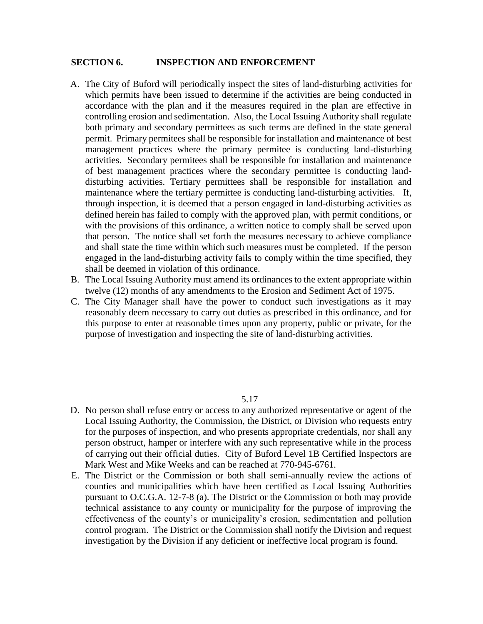#### **SECTION 6. INSPECTION AND ENFORCEMENT**

- A. The City of Buford will periodically inspect the sites of land-disturbing activities for which permits have been issued to determine if the activities are being conducted in accordance with the plan and if the measures required in the plan are effective in controlling erosion and sedimentation. Also, the Local Issuing Authority shall regulate both primary and secondary permittees as such terms are defined in the state general permit. Primary permitees shall be responsible for installation and maintenance of best management practices where the primary permitee is conducting land-disturbing activities. Secondary permitees shall be responsible for installation and maintenance of best management practices where the secondary permittee is conducting landdisturbing activities. Tertiary permittees shall be responsible for installation and maintenance where the tertiary permittee is conducting land-disturbing activities. If, through inspection, it is deemed that a person engaged in land-disturbing activities as defined herein has failed to comply with the approved plan, with permit conditions, or with the provisions of this ordinance, a written notice to comply shall be served upon that person. The notice shall set forth the measures necessary to achieve compliance and shall state the time within which such measures must be completed. If the person engaged in the land-disturbing activity fails to comply within the time specified, they shall be deemed in violation of this ordinance.
- B. The Local Issuing Authority must amend its ordinances to the extent appropriate within twelve (12) months of any amendments to the Erosion and Sediment Act of 1975.
- C. The City Manager shall have the power to conduct such investigations as it may reasonably deem necessary to carry out duties as prescribed in this ordinance, and for this purpose to enter at reasonable times upon any property, public or private, for the purpose of investigation and inspecting the site of land-disturbing activities.

- D. No person shall refuse entry or access to any authorized representative or agent of the Local Issuing Authority, the Commission, the District, or Division who requests entry for the purposes of inspection, and who presents appropriate credentials, nor shall any person obstruct, hamper or interfere with any such representative while in the process of carrying out their official duties. City of Buford Level 1B Certified Inspectors are Mark West and Mike Weeks and can be reached at 770-945-6761.
- E. The District or the Commission or both shall semi-annually review the actions of counties and municipalities which have been certified as Local Issuing Authorities pursuant to O.C.G.A. 12-7-8 (a). The District or the Commission or both may provide technical assistance to any county or municipality for the purpose of improving the effectiveness of the county's or municipality's erosion, sedimentation and pollution control program. The District or the Commission shall notify the Division and request investigation by the Division if any deficient or ineffective local program is found.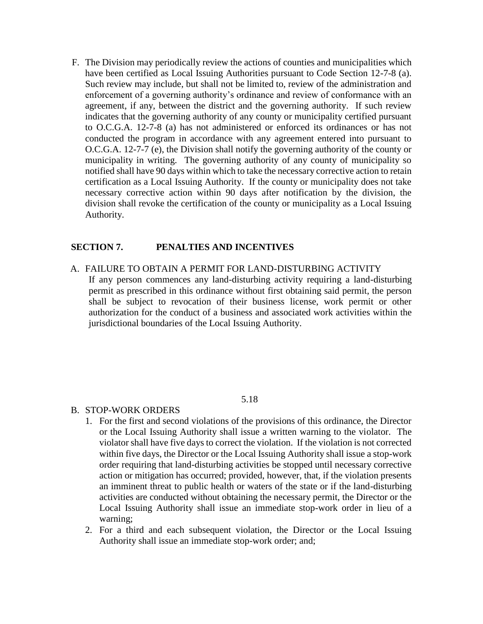F. The Division may periodically review the actions of counties and municipalities which have been certified as Local Issuing Authorities pursuant to Code Section 12-7-8 (a). Such review may include, but shall not be limited to, review of the administration and enforcement of a governing authority's ordinance and review of conformance with an agreement, if any, between the district and the governing authority. If such review indicates that the governing authority of any county or municipality certified pursuant to O.C.G.A. 12-7-8 (a) has not administered or enforced its ordinances or has not conducted the program in accordance with any agreement entered into pursuant to O.C.G.A. 12-7-7 (e), the Division shall notify the governing authority of the county or municipality in writing. The governing authority of any county of municipality so notified shall have 90 days within which to take the necessary corrective action to retain certification as a Local Issuing Authority. If the county or municipality does not take necessary corrective action within 90 days after notification by the division, the division shall revoke the certification of the county or municipality as a Local Issuing Authority.

## **SECTION 7. PENALTIES AND INCENTIVES**

A. FAILURE TO OBTAIN A PERMIT FOR LAND-DISTURBING ACTIVITY

If any person commences any land-disturbing activity requiring a land-disturbing permit as prescribed in this ordinance without first obtaining said permit, the person shall be subject to revocation of their business license, work permit or other authorization for the conduct of a business and associated work activities within the jurisdictional boundaries of the Local Issuing Authority.

5.18

#### B. STOP-WORK ORDERS

- 1. For the first and second violations of the provisions of this ordinance, the Director or the Local Issuing Authority shall issue a written warning to the violator. The violator shall have five days to correct the violation. If the violation is not corrected within five days, the Director or the Local Issuing Authority shall issue a stop-work order requiring that land-disturbing activities be stopped until necessary corrective action or mitigation has occurred; provided, however, that, if the violation presents an imminent threat to public health or waters of the state or if the land-disturbing activities are conducted without obtaining the necessary permit, the Director or the Local Issuing Authority shall issue an immediate stop-work order in lieu of a warning;
- 2. For a third and each subsequent violation, the Director or the Local Issuing Authority shall issue an immediate stop-work order; and;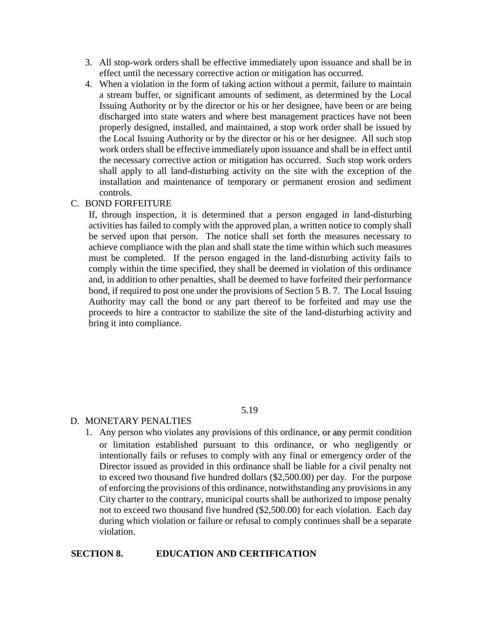- 3. All stop-work orders shall be effective immediately upon issuance and shall be in effect until the necessary corrective action or mitigation has occurred.
- 4. When a violation in the form of taking action without a permit, failure to maintain a stream buffer, or significant amounts of sediment, as determined by the Local Issuing Authority or by the director or his or her designee, have been or are being discharged into state waters and where best management practices have not been properly designed, installed, and maintained, a stop work order shall be issued by the Local Issuing Authority or by the director or his or her designee. All such stop work orders shall be effective immediately upon issuance and shall be in effect until the necessary corrective action or mitigation has occurred. Such stop work orders shall apply to all land-disturbing activity on the site with the exception of the installation and maintenance of temporary or permanent erosion and sediment controls.

## C. BOND FORFEITURE

If, through inspection, it is determined that a person engaged in land-disturbing activities has failed to comply with the approved plan, a written notice to comply shall be served upon that person. The notice shall set forth the measures necessary to achieve compliance with the plan and shall state the time within which such measures must be completed. If the person engaged in the land-disturbing activity fails to comply within the time specified, they shall be deemed in violation of this ordinance and, in addition to other penalties, shall be deemed to have forfeited their performance bond, if required to post one under the provisions of Section 5 B. 7. The Local Issuing Authority may call the bond or any part thereof to be forfeited and may use the proceeds to hire a contractor to stabilize the site of the land-disturbing activity and bring it into compliance.

#### 5.19

## D. MONETARY PENALTIES

1. Any person who violates any provisions of this ordinance, or any permit condition or limitation established pursuant to this ordinance, or who negligently or intentionally fails or refuses to comply with any final or emergency order of the Director issued as provided in this ordinance shall be liable for a civil penalty not to exceed two thousand five hundred dollars (\$2,500.00) per day. For the purpose of enforcing the provisions of this ordinance, notwithstanding any provisions in any City charter to the contrary, municipal courts shall be authorized to impose penalty not to exceed two thousand five hundred (\$2,500.00) for each violation. Each day during which violation or failure or refusal to comply continues shall be a separate violation.

## **SECTION 8. EDUCATION AND CERTIFICATION**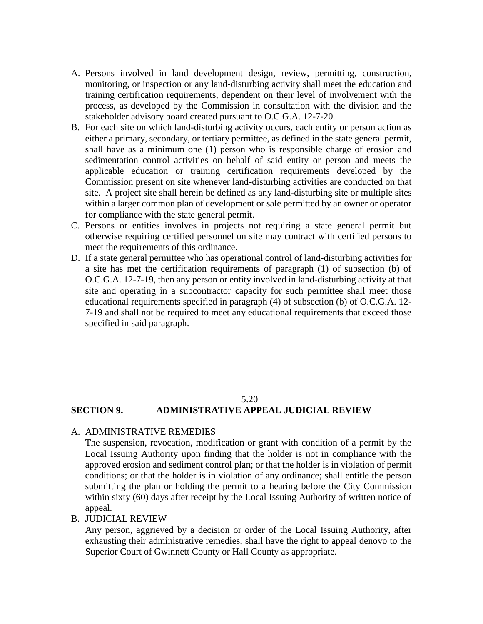- A. Persons involved in land development design, review, permitting, construction, monitoring, or inspection or any land-disturbing activity shall meet the education and training certification requirements, dependent on their level of involvement with the process, as developed by the Commission in consultation with the division and the stakeholder advisory board created pursuant to O.C.G.A. 12-7-20.
- B. For each site on which land-disturbing activity occurs, each entity or person action as either a primary, secondary, or tertiary permittee, as defined in the state general permit, shall have as a minimum one (1) person who is responsible charge of erosion and sedimentation control activities on behalf of said entity or person and meets the applicable education or training certification requirements developed by the Commission present on site whenever land-disturbing activities are conducted on that site. A project site shall herein be defined as any land-disturbing site or multiple sites within a larger common plan of development or sale permitted by an owner or operator for compliance with the state general permit.
- C. Persons or entities involves in projects not requiring a state general permit but otherwise requiring certified personnel on site may contract with certified persons to meet the requirements of this ordinance.
- D. If a state general permittee who has operational control of land-disturbing activities for a site has met the certification requirements of paragraph (1) of subsection (b) of O.C.G.A. 12-7-19, then any person or entity involved in land-disturbing activity at that site and operating in a subcontractor capacity for such permittee shall meet those educational requirements specified in paragraph (4) of subsection (b) of O.C.G.A. 12- 7-19 and shall not be required to meet any educational requirements that exceed those specified in said paragraph.

# 5.20 **SECTION 9. ADMINISTRATIVE APPEAL JUDICIAL REVIEW**

A. ADMINISTRATIVE REMEDIES

The suspension, revocation, modification or grant with condition of a permit by the Local Issuing Authority upon finding that the holder is not in compliance with the approved erosion and sediment control plan; or that the holder is in violation of permit conditions; or that the holder is in violation of any ordinance; shall entitle the person submitting the plan or holding the permit to a hearing before the City Commission within sixty (60) days after receipt by the Local Issuing Authority of written notice of appeal.

#### B. JUDICIAL REVIEW

Any person, aggrieved by a decision or order of the Local Issuing Authority, after exhausting their administrative remedies, shall have the right to appeal denovo to the Superior Court of Gwinnett County or Hall County as appropriate.